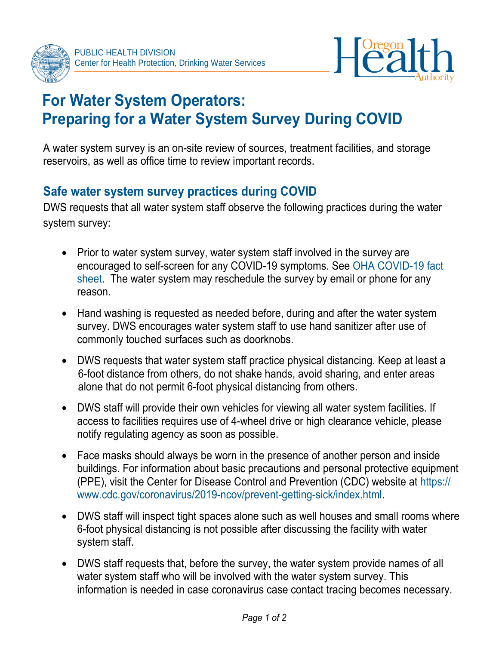



## **For Water System Operators: Preparing for a Water System Survey During COVID**

A water system survey is an on-site review of sources, treatment facilities, and storage reservoirs, as well as office time to review important records.

## **Safe water system survey practices during COVID**

DWS requests that all water system staff observe the following practices during the water system survey:

- Prior to water system survey, water system staff involved in the survey are [encouraged to self-screen for any COVID-19 symptoms. See OHA](https://sharedsystems.dhsoha.state.or.us/DHSForms/Served/le2356.pdf) COVID-19 fact sheet. The water system may reschedule the survey by email or phone for any reason.
- Hand washing is requested as needed before, during and after the water system survey. DWS encourages water system staff to use hand sanitizer after use of commonly touched surfaces such as doorknobs.
- DWS requests that water system staff practice physical distancing. Keep at least a 6-foot distance from others, do not shake hands, avoid sharing, and enter areas alone that do not permit 6-foot physical distancing from others.
- DWS staff will provide their own vehicles for viewing all water system facilities. If access to facilities requires use of 4-wheel drive or high clearance vehicle, please notify regulating agency as soon as possible.
- Face masks should always be worn in the presence of another person and inside buildings. For information about basic precautions and personal protective equipment [\(PPE\), visit the Center for Disease Control and Prevention \(CDC\) website](https://www.cdc.gov/coronavirus/2019-ncov/prevent-getting-sick/index.html) at https:// www.cdc.gov/coronavirus/2019-ncov/prevent-getting-sick/index.html.
- DWS staff will inspect tight spaces alone such as well houses and small rooms where 6-foot physical distancing is not possible after discussing the facility with water system staff.
- DWS staff requests that, before the survey, the water system provide names of all water system staff who will be involved with the water system survey. This information is needed in case coronavirus case contact tracing becomes necessary.